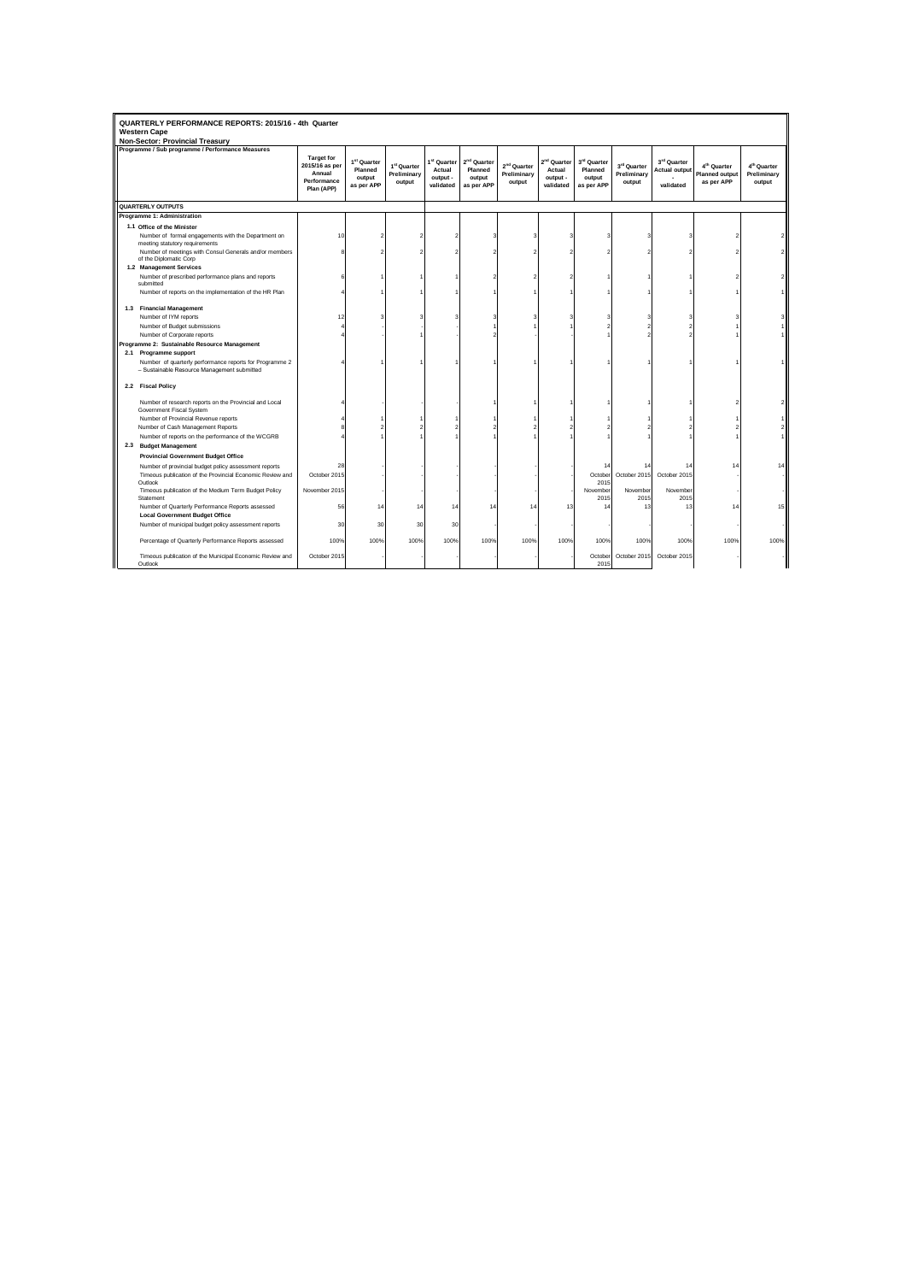| QUARTERLY PERFORMANCE REPORTS: 2015/16 - 4th Quarter<br><b>Western Cape</b><br><b>Non-Sector: Provincial Treasury</b> |                                                                                                        |                                                       |                                                            |                                                  |                                                            |                                                            |                                                  |                                                            |                                                            |                                      |                                                              |                                                                |                                                  |
|-----------------------------------------------------------------------------------------------------------------------|--------------------------------------------------------------------------------------------------------|-------------------------------------------------------|------------------------------------------------------------|--------------------------------------------------|------------------------------------------------------------|------------------------------------------------------------|--------------------------------------------------|------------------------------------------------------------|------------------------------------------------------------|--------------------------------------|--------------------------------------------------------------|----------------------------------------------------------------|--------------------------------------------------|
|                                                                                                                       | Programme / Sub programme / Performance Measures                                                       |                                                       |                                                            |                                                  |                                                            |                                                            |                                                  |                                                            |                                                            |                                      |                                                              |                                                                |                                                  |
|                                                                                                                       |                                                                                                        | <b>Target for</b>                                     |                                                            |                                                  |                                                            |                                                            |                                                  |                                                            |                                                            |                                      |                                                              |                                                                |                                                  |
|                                                                                                                       |                                                                                                        | 2015/16 as per<br>Annual<br>Performance<br>Plan (APP) | 1 <sup>st</sup> Quarter<br>Planned<br>output<br>as per APP | 1 <sup>st</sup> Quarter<br>Preliminary<br>output | 1 <sup>st</sup> Quarter<br>Actual<br>output -<br>validated | 2 <sup>nd</sup> Quarter<br>Planned<br>output<br>as per APP | 2 <sup>nd</sup> Quarter<br>Preliminary<br>output | 2 <sup>nd</sup> Quarter<br>Actual<br>output -<br>validated | 3 <sup>rd</sup> Quarter<br>Planned<br>output<br>as per APP | 3rd Quarter<br>Preliminary<br>output | 3 <sup>rd</sup> Quarter<br><b>Actual output</b><br>validated | 4 <sup>th</sup> Quarter<br><b>Planned output</b><br>as per APP | 4 <sup>th</sup> Quarter<br>Preliminary<br>output |
|                                                                                                                       | <b>QUARTERLY OUTPUTS</b>                                                                               |                                                       |                                                            |                                                  |                                                            |                                                            |                                                  |                                                            |                                                            |                                      |                                                              |                                                                |                                                  |
|                                                                                                                       | Programme 1: Administration                                                                            |                                                       |                                                            |                                                  |                                                            |                                                            |                                                  |                                                            |                                                            |                                      |                                                              |                                                                |                                                  |
|                                                                                                                       | 1.1 Office of the Minister                                                                             |                                                       |                                                            |                                                  |                                                            |                                                            |                                                  |                                                            |                                                            |                                      |                                                              |                                                                |                                                  |
|                                                                                                                       | Number of formal engagements with the Department on<br>meeting statutory requirements                  | 10                                                    |                                                            |                                                  |                                                            |                                                            |                                                  |                                                            |                                                            |                                      |                                                              |                                                                |                                                  |
|                                                                                                                       | Number of meetings with Consul Generals and/or members<br>of the Diplomatic Corp                       |                                                       |                                                            |                                                  |                                                            |                                                            |                                                  |                                                            |                                                            |                                      |                                                              |                                                                |                                                  |
|                                                                                                                       | 1.2 Management Services                                                                                |                                                       |                                                            |                                                  |                                                            |                                                            |                                                  |                                                            |                                                            |                                      |                                                              |                                                                |                                                  |
|                                                                                                                       | Number of prescribed performance plans and reports<br>submitted                                        |                                                       |                                                            |                                                  |                                                            |                                                            |                                                  |                                                            |                                                            |                                      |                                                              |                                                                |                                                  |
|                                                                                                                       | Number of reports on the implementation of the HR Plan                                                 |                                                       |                                                            |                                                  |                                                            |                                                            |                                                  |                                                            |                                                            |                                      |                                                              |                                                                |                                                  |
|                                                                                                                       | 1.3 Financial Management                                                                               |                                                       |                                                            |                                                  |                                                            |                                                            |                                                  |                                                            |                                                            |                                      |                                                              |                                                                |                                                  |
|                                                                                                                       | Number of IYM reports                                                                                  | 11                                                    |                                                            |                                                  |                                                            |                                                            |                                                  |                                                            |                                                            |                                      |                                                              |                                                                |                                                  |
|                                                                                                                       | Number of Budget submissions                                                                           |                                                       |                                                            |                                                  |                                                            |                                                            |                                                  |                                                            |                                                            |                                      |                                                              |                                                                |                                                  |
|                                                                                                                       | Number of Corporate reports                                                                            |                                                       |                                                            |                                                  |                                                            |                                                            |                                                  |                                                            |                                                            |                                      |                                                              |                                                                |                                                  |
|                                                                                                                       | Programme 2: Sustainable Resource Management                                                           |                                                       |                                                            |                                                  |                                                            |                                                            |                                                  |                                                            |                                                            |                                      |                                                              |                                                                |                                                  |
|                                                                                                                       | 2.1 Programme support                                                                                  |                                                       |                                                            |                                                  |                                                            |                                                            |                                                  |                                                            |                                                            |                                      |                                                              |                                                                |                                                  |
|                                                                                                                       | Number of quarterly performance reports for Programme 2<br>- Sustainable Resource Management submitted |                                                       |                                                            |                                                  |                                                            |                                                            |                                                  |                                                            |                                                            |                                      |                                                              |                                                                |                                                  |
|                                                                                                                       | 2.2 Fiscal Policy                                                                                      |                                                       |                                                            |                                                  |                                                            |                                                            |                                                  |                                                            |                                                            |                                      |                                                              |                                                                |                                                  |
|                                                                                                                       | Number of research reports on the Provincial and Local<br>Government Fiscal System                     |                                                       |                                                            |                                                  |                                                            |                                                            |                                                  |                                                            |                                                            |                                      |                                                              |                                                                |                                                  |
|                                                                                                                       | Number of Provincial Revenue reports                                                                   |                                                       |                                                            |                                                  |                                                            |                                                            |                                                  |                                                            |                                                            |                                      |                                                              |                                                                |                                                  |
|                                                                                                                       | Number of Cash Management Reports                                                                      |                                                       |                                                            |                                                  |                                                            |                                                            |                                                  |                                                            |                                                            |                                      |                                                              |                                                                |                                                  |
|                                                                                                                       | Number of reports on the performance of the WCGRB                                                      |                                                       |                                                            |                                                  |                                                            |                                                            |                                                  |                                                            |                                                            |                                      |                                                              |                                                                |                                                  |
|                                                                                                                       | 2.3 Budget Management                                                                                  |                                                       |                                                            |                                                  |                                                            |                                                            |                                                  |                                                            |                                                            |                                      |                                                              |                                                                |                                                  |
|                                                                                                                       | <b>Provincial Government Budget Office</b>                                                             |                                                       |                                                            |                                                  |                                                            |                                                            |                                                  |                                                            |                                                            |                                      |                                                              |                                                                |                                                  |
|                                                                                                                       | Number of provincial budget policy assessment reports                                                  | 28                                                    |                                                            |                                                  |                                                            |                                                            |                                                  |                                                            | 14                                                         |                                      | 14                                                           | 14                                                             | 14                                               |
|                                                                                                                       | Timeous publication of the Provincial Economic Review and<br>Outlook                                   | October 2015                                          |                                                            |                                                  |                                                            |                                                            |                                                  |                                                            | October<br>2015                                            | October 2015                         | October 2015                                                 |                                                                |                                                  |
|                                                                                                                       | Timeous publication of the Medium Term Budget Policy<br>Statement                                      | November 2015                                         |                                                            |                                                  |                                                            |                                                            |                                                  |                                                            | November<br>2015                                           | November<br>2015                     | November<br>2015                                             |                                                                |                                                  |
|                                                                                                                       | Number of Quarterly Performance Reports assessed                                                       | 56                                                    | 14                                                         | 14                                               | 14                                                         | 14                                                         | 14                                               | 13                                                         | 14                                                         | 13                                   | 13                                                           | 14                                                             | 15                                               |
|                                                                                                                       | <b>Local Government Budget Office</b>                                                                  |                                                       |                                                            |                                                  |                                                            |                                                            |                                                  |                                                            |                                                            |                                      |                                                              |                                                                |                                                  |
|                                                                                                                       | Number of municipal budget policy assessment reports                                                   | 30                                                    | 30                                                         | 30                                               | 30                                                         |                                                            |                                                  |                                                            |                                                            |                                      |                                                              |                                                                |                                                  |
|                                                                                                                       | Percentage of Quarterly Performance Reports assessed                                                   | 100%                                                  | 100%                                                       | 100%                                             | 100%                                                       | 100%                                                       | 100%                                             | 100%                                                       | 100%                                                       | 100%                                 | 100%                                                         | 100%                                                           | 100%                                             |
|                                                                                                                       | Timeous publication of the Municipal Economic Review and<br>Outlook                                    | October 2015                                          |                                                            |                                                  |                                                            |                                                            |                                                  |                                                            | October<br>2015                                            | October 2015                         | October 2015                                                 |                                                                |                                                  |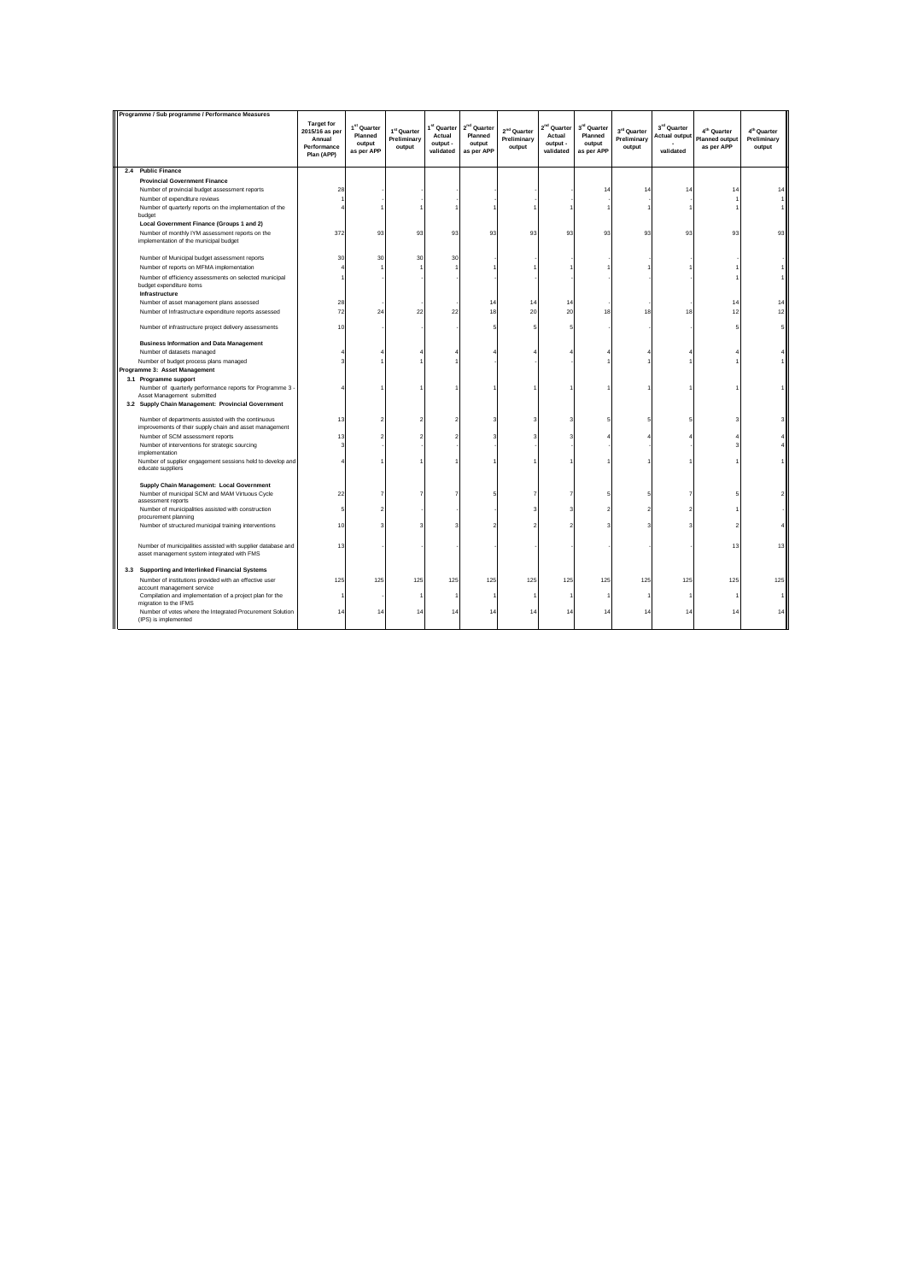| Programme / Sub programme / Performance Measures                                                            | <b>Target for</b><br>2015/16 as per<br>Annual<br>Performance<br>Plan (APP) | 1 <sup>st</sup> Quarter<br>Planned<br>output<br>as per APP | 1 <sup>st</sup> Quarter<br>Preliminary<br>output | 1 <sup>st</sup> Quarter<br>Actual<br>output -<br>validated | 2 <sup>nd</sup> Quarter<br>Planned<br>output<br>as per APP | 2 <sup>nd</sup> Quarter<br>Preliminary<br>output | 2 <sup>nd</sup> Quarter<br>Actual<br>output -<br>validated | 3rd Quarter<br>Planned<br>output<br>as per APP | 3rd Quarter<br>Preliminary<br>output | 3rd Quarter<br><b>Actual output</b><br>validated | 4 <sup>th</sup> Quarter<br><b>Planned output</b><br>as per APP | 4 <sup>th</sup> Quarter<br>Preliminary<br>output |
|-------------------------------------------------------------------------------------------------------------|----------------------------------------------------------------------------|------------------------------------------------------------|--------------------------------------------------|------------------------------------------------------------|------------------------------------------------------------|--------------------------------------------------|------------------------------------------------------------|------------------------------------------------|--------------------------------------|--------------------------------------------------|----------------------------------------------------------------|--------------------------------------------------|
| <b>Public Finance</b><br>2.4                                                                                |                                                                            |                                                            |                                                  |                                                            |                                                            |                                                  |                                                            |                                                |                                      |                                                  |                                                                |                                                  |
| <b>Provincial Government Finance</b>                                                                        |                                                                            |                                                            |                                                  |                                                            |                                                            |                                                  |                                                            |                                                |                                      |                                                  |                                                                |                                                  |
| Number of provincial budget assessment reports                                                              | 28                                                                         |                                                            |                                                  |                                                            |                                                            |                                                  |                                                            | 1 <sub>1</sub>                                 | 1 <sup>2</sup>                       | 14                                               |                                                                | 14                                               |
| Number of expenditure reviews                                                                               |                                                                            |                                                            |                                                  |                                                            |                                                            |                                                  |                                                            |                                                |                                      |                                                  |                                                                |                                                  |
| Number of quarterly reports on the implementation of the<br>budget                                          |                                                                            |                                                            |                                                  |                                                            |                                                            |                                                  |                                                            |                                                |                                      |                                                  |                                                                |                                                  |
| Local Government Finance (Groups 1 and 2)                                                                   |                                                                            |                                                            |                                                  |                                                            |                                                            |                                                  |                                                            |                                                |                                      |                                                  |                                                                |                                                  |
| Number of monthly IYM assessment reports on the<br>implementation of the municipal budget                   | 372                                                                        | 93                                                         | 93                                               | 93                                                         | 93                                                         | 93                                               | 93                                                         | 93                                             | 93                                   | 93                                               | 93                                                             | 93                                               |
| Number of Municipal budget assessment reports                                                               | 30                                                                         | 30                                                         | 30                                               | 30                                                         |                                                            |                                                  |                                                            |                                                |                                      |                                                  |                                                                |                                                  |
| Number of reports on MFMA implementation                                                                    |                                                                            |                                                            |                                                  |                                                            |                                                            |                                                  |                                                            |                                                |                                      |                                                  |                                                                |                                                  |
| Number of efficiency assessments on selected municipal                                                      |                                                                            |                                                            |                                                  |                                                            |                                                            |                                                  |                                                            |                                                |                                      |                                                  |                                                                |                                                  |
| budget expenditure items<br>Infrastructure                                                                  |                                                                            |                                                            |                                                  |                                                            |                                                            |                                                  |                                                            |                                                |                                      |                                                  |                                                                |                                                  |
| Number of asset management plans assessed                                                                   | 28                                                                         |                                                            |                                                  |                                                            | 14                                                         | 14                                               | 14                                                         |                                                |                                      |                                                  | 14                                                             | 14                                               |
| Number of Infrastructure expenditure reports assessed                                                       | 72                                                                         | 24                                                         | 22                                               | 22                                                         | 18                                                         | 20                                               | 20                                                         | 18                                             | 18                                   | 18                                               | 12                                                             | 12                                               |
| Number of infrastructure project delivery assessments                                                       | 10                                                                         |                                                            |                                                  |                                                            | 5                                                          |                                                  |                                                            |                                                |                                      |                                                  | 5                                                              |                                                  |
| <b>Business Information and Data Management</b>                                                             |                                                                            |                                                            |                                                  |                                                            |                                                            |                                                  |                                                            |                                                |                                      |                                                  |                                                                |                                                  |
| Number of datasets managed                                                                                  |                                                                            |                                                            |                                                  |                                                            |                                                            |                                                  |                                                            |                                                |                                      |                                                  |                                                                |                                                  |
| Number of budget process plans managed                                                                      |                                                                            |                                                            |                                                  |                                                            |                                                            |                                                  |                                                            |                                                |                                      |                                                  |                                                                |                                                  |
| Programme 3: Asset Management                                                                               |                                                                            |                                                            |                                                  |                                                            |                                                            |                                                  |                                                            |                                                |                                      |                                                  |                                                                |                                                  |
| 3.1 Programme support                                                                                       |                                                                            |                                                            |                                                  |                                                            |                                                            |                                                  |                                                            |                                                |                                      |                                                  |                                                                |                                                  |
| Number of quarterly performance reports for Programme 3 -                                                   |                                                                            |                                                            |                                                  |                                                            |                                                            |                                                  |                                                            |                                                |                                      |                                                  |                                                                |                                                  |
| Asset Management submitted<br>3.2 Supply Chain Management: Provincial Government                            |                                                                            |                                                            |                                                  |                                                            |                                                            |                                                  |                                                            |                                                |                                      |                                                  |                                                                |                                                  |
|                                                                                                             |                                                                            |                                                            |                                                  |                                                            |                                                            |                                                  |                                                            |                                                |                                      |                                                  |                                                                |                                                  |
| Number of departments assisted with the continuous                                                          | 13                                                                         |                                                            |                                                  |                                                            |                                                            |                                                  |                                                            |                                                |                                      |                                                  | ٩                                                              |                                                  |
| improvements of their supply chain and asset management                                                     |                                                                            |                                                            |                                                  |                                                            |                                                            |                                                  |                                                            |                                                |                                      |                                                  |                                                                |                                                  |
| Number of SCM assessment reports                                                                            | 13                                                                         |                                                            |                                                  |                                                            |                                                            |                                                  |                                                            |                                                |                                      |                                                  |                                                                |                                                  |
| Number of interventions for strategic sourcing<br>implementation                                            |                                                                            |                                                            |                                                  |                                                            |                                                            |                                                  |                                                            |                                                |                                      |                                                  |                                                                |                                                  |
| Number of supplier engagement sessions held to develop and<br>educate suppliers                             |                                                                            |                                                            |                                                  |                                                            |                                                            |                                                  |                                                            |                                                |                                      |                                                  |                                                                |                                                  |
| Supply Chain Management: Local Government                                                                   |                                                                            |                                                            |                                                  |                                                            |                                                            |                                                  |                                                            |                                                |                                      |                                                  |                                                                |                                                  |
| Number of municipal SCM and MAM Virtuous Cycle<br>assessment reports                                        | 22                                                                         |                                                            |                                                  |                                                            |                                                            |                                                  |                                                            |                                                |                                      |                                                  | 5                                                              |                                                  |
| Number of municipalities assisted with construction<br>procurement planning                                 |                                                                            |                                                            |                                                  |                                                            |                                                            |                                                  |                                                            |                                                |                                      |                                                  |                                                                |                                                  |
| Number of structured municipal training interventions                                                       | 10                                                                         |                                                            |                                                  |                                                            |                                                            |                                                  |                                                            |                                                |                                      |                                                  |                                                                |                                                  |
|                                                                                                             |                                                                            |                                                            |                                                  |                                                            |                                                            |                                                  |                                                            |                                                |                                      |                                                  |                                                                |                                                  |
| Number of municipalities assisted with supplier database and<br>asset management system integrated with FMS | 13                                                                         |                                                            |                                                  |                                                            |                                                            |                                                  |                                                            |                                                |                                      |                                                  | 13                                                             | 13                                               |
| 3.3 Supporting and Interlinked Financial Systems                                                            |                                                                            |                                                            |                                                  |                                                            |                                                            |                                                  |                                                            |                                                |                                      |                                                  |                                                                |                                                  |
| Number of institutions provided with an effective user<br>account management service                        | 125                                                                        | 125                                                        | 125                                              | 125                                                        | 125                                                        | 125                                              | 125                                                        | 125                                            | 125                                  | 125                                              | 125                                                            | 125                                              |
| Compilation and implementation of a project plan for the                                                    |                                                                            |                                                            |                                                  |                                                            |                                                            |                                                  |                                                            |                                                |                                      |                                                  |                                                                |                                                  |
| migration to the IFMS<br>Number of votes where the Integrated Procurement Solution<br>(IPS) is implemented  | 14                                                                         | 14                                                         | 14                                               | 14                                                         | 14                                                         | 14                                               | 14                                                         | 14                                             | 14                                   | 14                                               |                                                                | 14                                               |